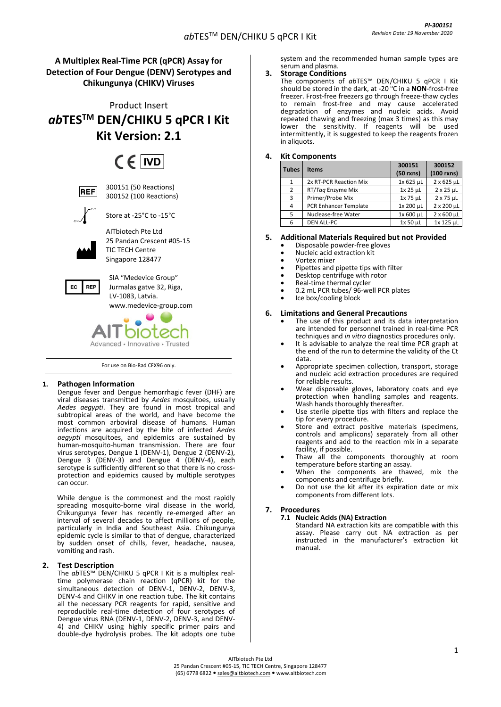# **A Multiplex Real-Time PCR (qPCR) Assay for Detection of Four Dengue (DENV) Serotypes and Chikungunya (CHIKV) Viruses**

Product Insert *ab***TESTM DEN/CHIKU 5 qPCR I Kit Kit Version: 2.1**

# $CF$  IVD



300151 (50 Reactions) 300152 (100 Reactions)



Store at -25°C to -15°C

AITbiotech Pte Ltd 25 Pandan Crescent #05-15 TIC TECH Centre Singapore 128477



SIA "Medevice Group" Jurmalas gatve 32, Riga, LV-1083, Latvia. [www.medevice-group.com](http://www.medevice-group.com/)

# DIOTE Advanced • Innovative • Trusted

For use on Bio-Rad CFX96 only.

# **1. Pathogen Information**

Dengue fever and Dengue hemorrhagic fever (DHF) are viral diseases transmitted by *Aedes* mosquitoes, usually *Aedes aegypti*. They are found in most tropical and subtropical areas of the world, and have become the most common arboviral disease of humans. Human infections are acquired by the bite of infected *Aedes aegypti* mosquitoes, and epidemics are sustained by human-mosquito-human transmission. There are four virus serotypes, Dengue 1 (DENV-1), Dengue 2 (DENV-2), Dengue 3 (DENV-3) and Dengue 4 (DENV-4), each serotype is sufficiently different so that there is no crossprotection and epidemics caused by multiple serotypes can occur.

While dengue is the commonest and the most rapidly spreading mosquito-borne viral disease in the world, Chikungunya fever has recently re-emerged after an interval of several decades to affect millions of people, particularly in India and Southeast Asia. Chikungunya epidemic cycle is similar to that of dengue, characterized by sudden onset of chills, fever, [headache,](http://www.medterms.com/script/main/art.asp?articlekey=20628) nausea, vomiting and [rash.](http://www.medterms.com/script/main/art.asp?articlekey=1992) 

# **2. Test Description**

The *ab*TES™ DEN/CHIKU 5 qPCR I Kit is a multiplex realtime polymerase chain reaction (qPCR) kit for the simultaneous detection of DENV-1, DENV-2, DENV-3, DENV-4 and CHIKV in one reaction tube. The kit contains all the necessary PCR reagents for rapid, sensitive and reproducible real-time detection of four serotypes of Dengue virus RNA (DENV-1, DENV-2, DENV-3, and DENV-4) and CHIKV using highly specific primer pairs and double-dye hydrolysis probes. The kit adopts one tube

system and the recommended human sample types are serum and plasma.

# **3. Storage Conditions**

The components of *ab*TES™ DEN/CHIKU 5 qPCR I Kit should be stored in the dark, at -20 °C in a **NON**-frost-free freezer. Frost-free freezers go through freeze-thaw cycles to remain frost-free and may cause accelerated degradation of enzymes and nucleic acids. Avoid repeated thawing and freezing (max 3 times) as this may lower the sensitivity. If reagents will be used intermittently, it is suggested to keep the reagents frozen in aliquots.

# **4. Kit Components**

| <b>Tubes</b>   | <b>Items</b>                 | 300151      | 300152            |
|----------------|------------------------------|-------------|-------------------|
|                |                              | $(50$ rxns) | $(100$ rxns)      |
| $\mathbf{1}$   | 2x RT-PCR Reaction Mix       | 1x 625 µL   | $2 \times 625$ µL |
| $\overline{2}$ | RT/Tag Enzyme Mix            | 1x 25 µL    | $2 \times 25$ µL  |
| 3              | Primer/Probe Mix             | 1x 75 µL    | $2 \times 75$ µL  |
| 4              | <b>PCR Enhancer Template</b> | 1x 200 µL   | 2 x 200 µL        |
| 5              | Nuclease-free Water          | 1x 600 µL   | 2 x 600 µL        |
| 6              | <b>DEN ALL-PC</b>            | 1x 50 µL    | 1x 125 µL         |

# **5. Additional Materials Required but not Provided**

- Disposable powder-free gloves
- Nucleic acid extraction kit
- Vortex mixer
- Pipettes and pipette tips with filter
- Desktop centrifuge with rotor
- Real-time thermal cycler
- 0.2 mL PCR tubes/ 96-well PCR plates
- Ice box/cooling block

# **6. Limitations and General Precautions**

- The use of this product and its data interpretation are intended for personnel trained in real-time PCR techniques and *in vitro* diagnostics procedures only.
- It is advisable to analyze the real time PCR graph at the end of the run to determine the validity of the Ct data.
- Appropriate specimen collection, transport, storage and nucleic acid extraction procedures are required for reliable results.
- Wear disposable gloves, laboratory coats and eye protection when handling samples and reagents. Wash hands thoroughly thereafter.
- Use sterile pipette tips with filters and replace the tip for every procedure.
- Store and extract positive materials (specimens, controls and amplicons) separately from all other reagents and add to the reaction mix in a separate facility, if possible.
- Thaw all the components thoroughly at room temperature before starting an assay.
- When the components are thawed, mix the components and centrifuge briefly.
- Do not use the kit after its expiration date or mix components from different lots.

## **7. Procedures**

# **7.1 Nucleic Acids (NA) Extraction**

Standard NA extraction kits are compatible with this assay. Please carry out NA extraction as per instructed in the manufacturer's extraction kit manual.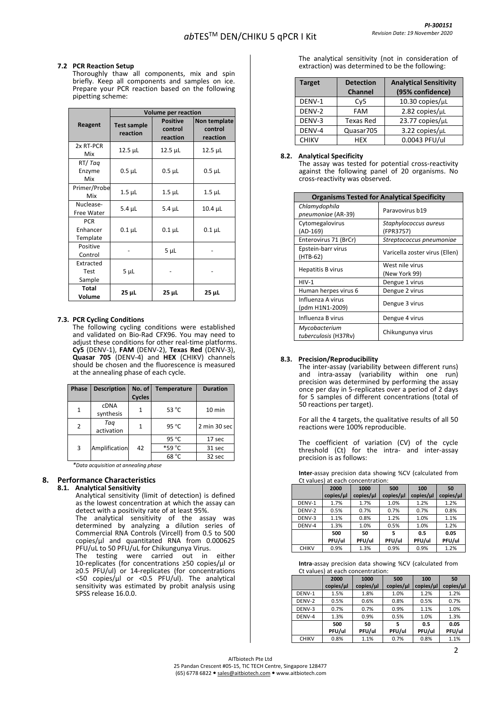#### **7.2 PCR Reaction Setup**

Thoroughly thaw all components, mix and spin briefly. Keep all components and samples on ice. Prepare your PCR reaction based on the following pipetting scheme:

|                                    | <b>Volume per reaction</b>     |                                        |                                     |  |  |
|------------------------------------|--------------------------------|----------------------------------------|-------------------------------------|--|--|
| Reagent                            | <b>Test sample</b><br>reaction | <b>Positive</b><br>control<br>reaction | Non template<br>control<br>reaction |  |  |
| 2x RT-PCR<br>Mix                   | 12.5 µL                        | $12.5$ $\mu$ L                         | 12.5 µL                             |  |  |
| RT/Tag<br>Enzyme<br>Mix            | $0.5$ $\mu$ L                  | $0.5$ $\mu$ L                          | $0.5$ $\mu$ L                       |  |  |
| Primer/Probe<br>Mix                | $1.5$ $\mu$ L                  | $1.5$ $\mu$ L                          | $1.5$ $\mu$ L                       |  |  |
| Nuclease-<br>Free Water            | $5.4 \mu L$                    | $5.4 \mu L$                            | 10.4 µL                             |  |  |
| <b>PCR</b><br>Enhancer<br>Template | $0.1 \mu L$                    | $0.1$ $\mu$ L                          | $0.1 \mu L$                         |  |  |
| Positive<br>Control                |                                | 5 <sub>µ</sub>                         |                                     |  |  |
| Extracted<br>Test<br>Sample        | 5 <sub>µL</sub>                |                                        |                                     |  |  |
| <b>Total</b><br>Volume             | $25 \mu L$                     | 25 µL                                  | 25 µL                               |  |  |

#### **7.3. PCR Cycling Conditions**

The following cycling conditions were established and validated on Bio-Rad CFX96. You may need to adjust these conditions for other real-time platforms. **Cy5** (DENV-1), **FAM** (DENV-2), **Texas Red** (DENV-3), **Quasar 705** (DENV-4) and **HEX** (CHIKV) channels should be chosen and the fluorescence is measured at the annealing phase of each cycle.

| Phase          | <b>Description</b>       | No. of<br><b>Cycles</b> | <b>Temperature</b> | <b>Duration</b> |
|----------------|--------------------------|-------------------------|--------------------|-----------------|
| $\mathbf{1}$   | <b>CDNA</b><br>synthesis | 1                       | 53 °C              | 10 min          |
| $\overline{2}$ | Tag<br>activation        | 1                       | $95^{\circ}$ C     | 2 min 30 sec    |
|                |                          |                         | 95 $\degree$ C     | 17 sec          |
| 3              | Amplification            | 42                      | *59 °C             | 31 sec          |
|                |                          |                         | 68 °C              | 32 sec          |

*\*Data acquisition at annealing phase*

#### **8. Performance Characteristics**

#### **8.1. Analytical Sensitivity**

Analytical sensitivity (limit of detection) is defined as the lowest concentration at which the assay can detect with a positivity rate of at least 95%.

The analytical sensitivity of the assay was determined by analyzing a dilution series of Commercial RNA Controls (Vircell) from 0.5 to 500 copies/µl and quantitated RNA from 0.000625 PFU/uL to 50 PFU/uL for Chikungunya Virus.

The testing were carried out in either 10-replicates (for concentrations ≥50 copies/µl or ≥0.5 PFU/ul) or 14-replicates (for concentrations <50 copies/µl or <0.5 PFU/ul). The analytical sensitivity was estimated by probit analysis using SPSS release 16.0.0.

The analytical sensitivity (not in consideration of extraction) was determined to be the following:

| <b>Target</b> | <b>Detection</b> | <b>Analytical Sensitivity</b> |
|---------------|------------------|-------------------------------|
|               | <b>Channel</b>   | (95% confidence)              |
| DENV-1        | Cy5              | $10.30$ copies/ $\mu$ L       |
| DENV-2        | <b>FAM</b>       | 2.82 copies/µL                |
| DENV-3        | Texas Red        | 23.77 copies/µL               |
| DENV-4        | Quasar705        | 3.22 copies/µL                |
| <b>CHIKV</b>  | <b>HFX</b>       | 0.0043 PFU/ul                 |

#### **8.2. Analytical Specificity**

The assay was tested for potential cross-reactivity against the following panel of 20 organisms. No cross-reactivity was observed.

| <b>Organisms Tested for Analytical Specificity</b> |                                    |  |  |  |
|----------------------------------------------------|------------------------------------|--|--|--|
| Chlamydophila<br>pneumoniae (AR-39)                | Paravovirus b19                    |  |  |  |
| Cytomegalovirus<br>(AD-169)                        | Staphylococcus aureus<br>(FPR3757) |  |  |  |
| Enterovirus 71 (BrCr)                              | Streptococcus pneumoniae           |  |  |  |
| Epstein-barr virus<br>(HTB-62)                     | Varicella zoster virus (Ellen)     |  |  |  |
| Hepatitis B virus                                  | West nile virus<br>(New York 99)   |  |  |  |
| $HIV-1$                                            | Dengue 1 virus                     |  |  |  |
| Human herpes virus 6                               | Dengue 2 virus                     |  |  |  |
| Influenza A virus<br>(pdm H1N1-2009)               | Dengue 3 virus                     |  |  |  |
| Influenza B virus                                  | Dengue 4 virus                     |  |  |  |
| Mycobacterium<br>tuberculosis (H37Rv)              | Chikungunya virus                  |  |  |  |

#### **8.3. Precision/Reproducibility**

The inter-assay (variability between different runs) and intra-assay (variability within one run) precision was determined by performing the assay once per day in 5-replicates over a period of 2 days for 5 samples of different concentrations (total of 50 reactions per target).

For all the 4 targets, the qualitative results of all 50 reactions were 100% reproducible.

The coefficient of variation (CV) of the cycle threshold (Ct) for the intra- and inter-assay precision is as follows:

**Inter**-assay precision data showing %CV (calculated from Ct values) at each concentration:

| Ct values) at each concentration: |           |           |           |           |           |  |
|-----------------------------------|-----------|-----------|-----------|-----------|-----------|--|
|                                   | 2000      | 1000      | 500       | 100       | 50        |  |
|                                   | copies/µl | copies/µl | copies/µl | copies/µl | copies/µl |  |
| DENV-1                            | 1.7%      | 1.7%      | 1.0%      | 1.2%      | 1.2%      |  |
| DENV-2                            | 0.5%      | 0.7%      | 0.7%      | 0.7%      | 0.8%      |  |
| DENV-3                            | 1.1%      | 0.8%      | 1.2%      | 1.0%      | 1.1%      |  |
| DENV-4                            | 1.3%      | 1.0%      | 0.5%      | 1.0%      | 1.2%      |  |
|                                   | 500       | 50        | 5         | 0.5       | 0.05      |  |
|                                   | PFU/ul    | PFU/ul    | PFU/ul    | PFU/ul    | PFU/ul    |  |
| <b>CHIKV</b>                      | 0.9%      | 1.3%      | 0.9%      | 0.9%      | 1.2%      |  |

**Intra**-assay precision data showing %CV (calculated from Ct values) at each concentration:

|              | 2000<br>copies/µl | 1000<br>copies/µl | 500<br>copies/µl | 100<br>copies/µl | 50<br>copies/µl |  |
|--------------|-------------------|-------------------|------------------|------------------|-----------------|--|
| DENV-1       | 1.5%              | 1.8%              | 1.0%             | 1.2%             | 1.2%            |  |
| DENV-2       | 0.5%              | 0.6%              | 0.8%             | 0.5%             | 0.7%            |  |
| DENV-3       | 0.7%              | 0.7%              | 0.9%             | 1.1%             | 1.0%            |  |
| DENV-4       | 1.3%              | 0.9%              | 0.5%             | 1.0%             | 1.3%            |  |
|              | 500<br>PFU/ul     | 50<br>PFU/ul      | 5<br>PFU/ul      | 0.5<br>PFU/ul    | 0.05<br>PFU/ul  |  |
| <b>CHIKV</b> | 0.8%              | 1.1%              | 0.7%             | 0.8%             | 1.1%            |  |